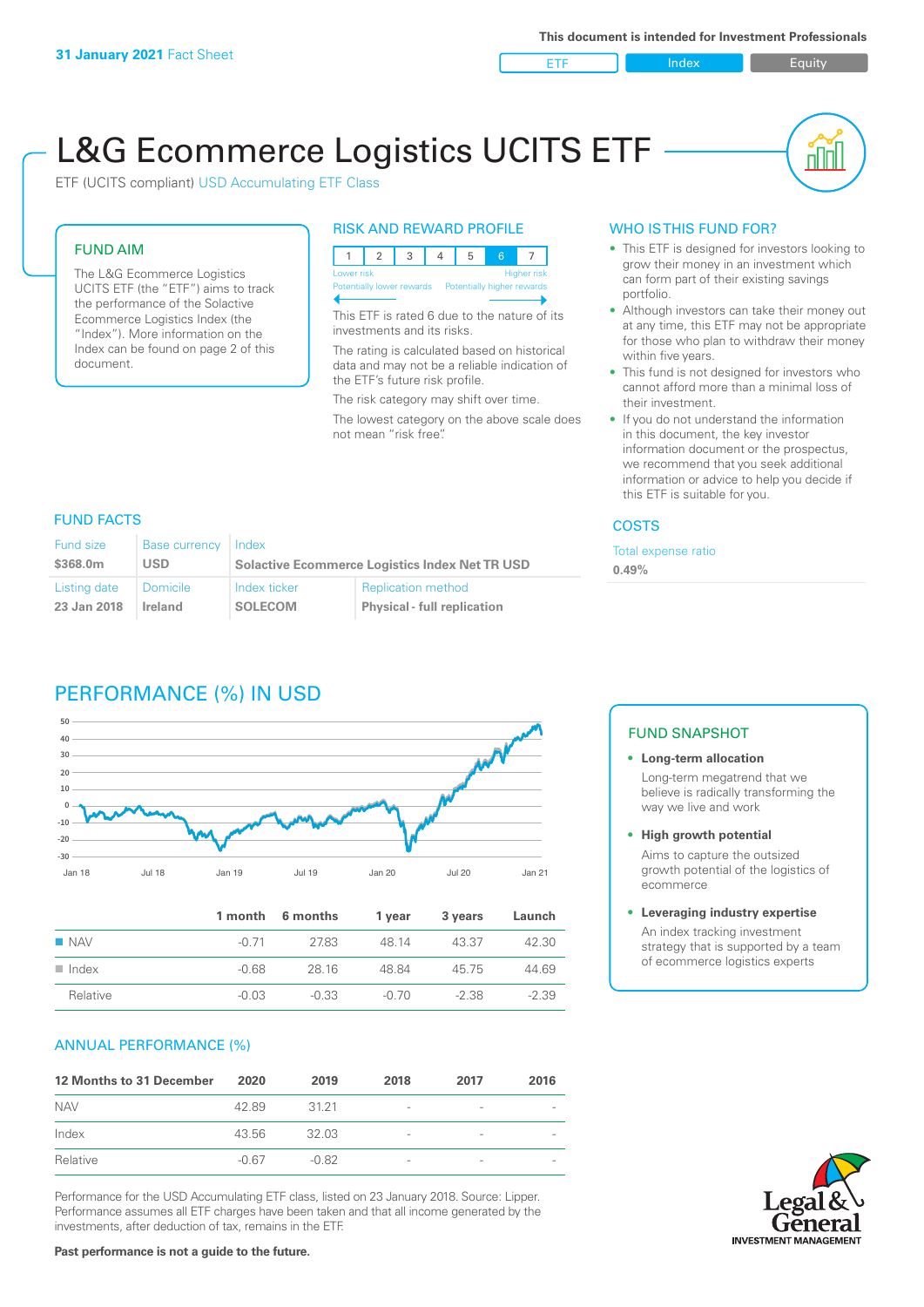ETF Index Buity

nn

# L&G Ecommerce Logistics UCITS ETF

ETF (UCITS compliant) USD Accumulating ETF Class

### FUND AIM

The L&G Ecommerce Logistics UCITS ETF (the "ETF") aims to track the performance of the Solactive Ecommerce Logistics Index (the "Index"). More information on the Index can be found on page 2 of this document.

### RISK AND REWARD PROFILE



This ETF is rated 6 due to the nature of its investments and its risks.

The rating is calculated based on historical data and may not be a reliable indication of the ETF's future risk profile.

The risk category may shift over time.

The lowest category on the above scale does not mean "risk free".

### WHO IS THIS FUND FOR?

- This ETF is designed for investors looking to grow their money in an investment which can form part of their existing savings portfolio.
- Although investors can take their money out at any time, this ETF may not be appropriate for those who plan to withdraw their money within five years.
- This fund is not designed for investors who cannot afford more than a minimal loss of their investment.
- If you do not understand the information in this document, the key investor information document or the prospectus, we recommend that you seek additional information or advice to help you decide if this ETF is suitable for you.

### **COSTS**

Total expense ratio **0.49%**

### FUND FACTS

| <b>Fund size</b> | <b>Base currency</b> | Index                                                 |                                    |  |
|------------------|----------------------|-------------------------------------------------------|------------------------------------|--|
| \$368.0m         | USD                  | <b>Solactive Ecommerce Logistics Index Net TR USD</b> |                                    |  |
| Listing date     | ∣ Domicile i         | Index ticker                                          | <b>Replication method</b>          |  |
| 23 Jan 2018      | Ireland              | <b>SOLECOM</b>                                        | <b>Physical - full replication</b> |  |

# PERFORMANCE (%) IN USD



|                      |         | 1 month 6 months | 1 vear | 3 years | Launch  |
|----------------------|---------|------------------|--------|---------|---------|
| $\blacksquare$ NAV   | -0.71   | 2783             | 48 14  | 43.37   | 42.30   |
| $\blacksquare$ Index | $-0.68$ | 28.16            | 48.84  | 45 75   | 44.69   |
| Relative             | $-0.03$ | $-0.33$          | -0.70  | -2.38   | $-2.39$ |

### ANNUAL PERFORMANCE (%)

| 12 Months to 31 December | 2020    | 2019    | 2018                     | 2017                     | 2016 |
|--------------------------|---------|---------|--------------------------|--------------------------|------|
| <b>NAV</b>               | 42.89   | 31 21   | $\overline{\phantom{a}}$ | $\overline{\phantom{a}}$ |      |
| Index                    | 43.56   | 32.03   | $\overline{\phantom{a}}$ | $\overline{\phantom{0}}$ |      |
| Relative                 | $-0.67$ | $-0.82$ | $\overline{\phantom{a}}$ | $\qquad \qquad$          |      |

Performance for the USD Accumulating ETF class, listed on 23 January 2018. Source: Lipper. Performance assumes all ETF charges have been taken and that all income generated by the investments, after deduction of tax, remains in the ETF.

### FUND SNAPSHOT

**• Long-term allocation** Long-term megatrend that we believe is radically transforming the way we live and work

**• High growth potential**

Aims to capture the outsized growth potential of the logistics of ecommerce

#### **• Leveraging industry expertise**

An index tracking investment strategy that is supported by a team of ecommerce logistics experts

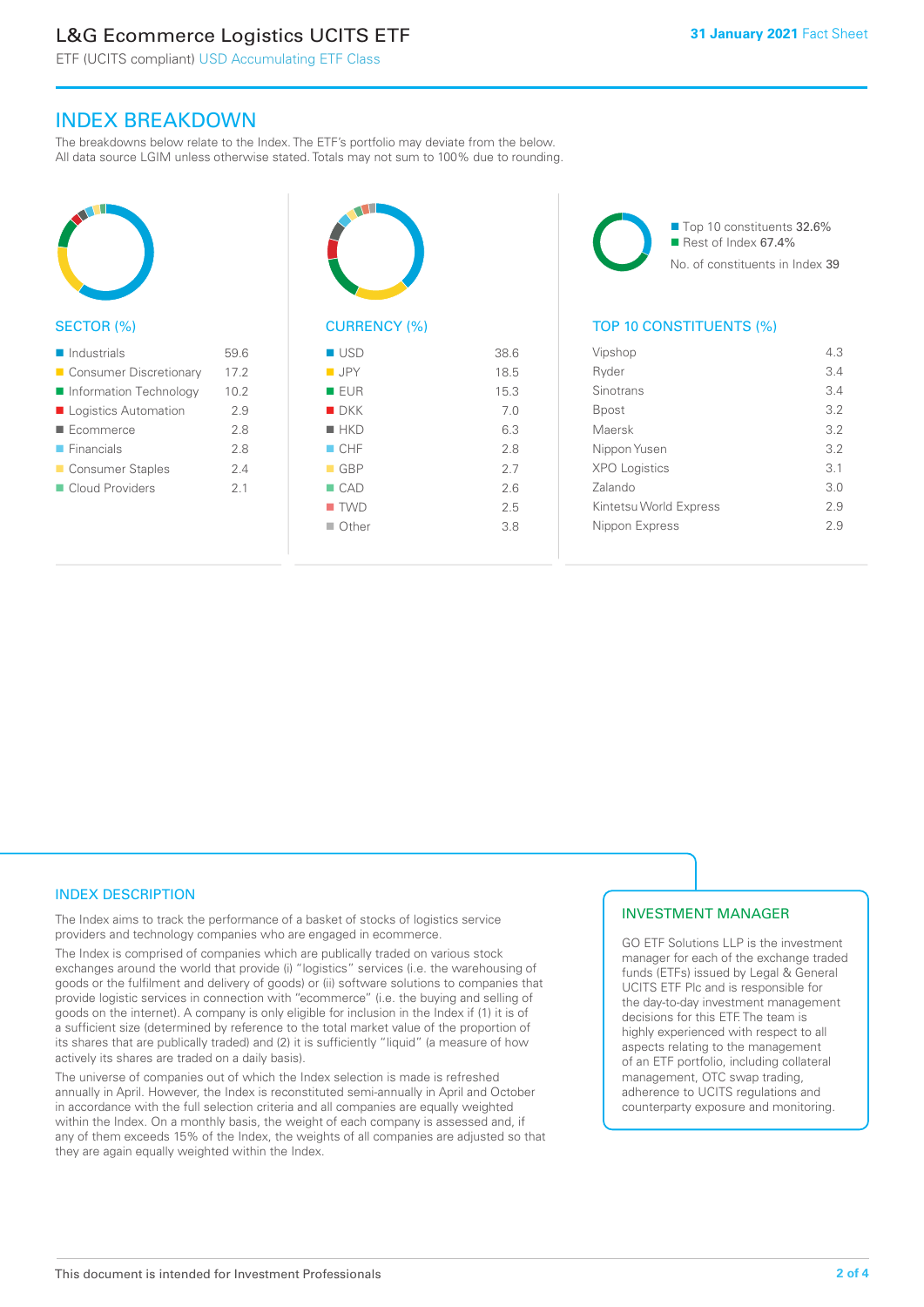# L&G Ecommerce Logistics UCITS ETF

ETF (UCITS compliant) USD Accumulating ETF Class

## INDEX BREAKDOWN

The breakdowns below relate to the Index. The ETF's portfolio may deviate from the below. All data source LGIM unless otherwise stated. Totals may not sum to 100% due to rounding.



### SECTOR (%)

| $\blacksquare$ Industrials | 59.6 |
|----------------------------|------|
| ■ Consumer Discretionary   | 17.2 |
| Information Technology     | 10.2 |
| Logistics Automation       | 2.9  |
| Ecommerce                  | 2.8  |
| $\blacksquare$ Financials  | 28   |
| ■ Consumer Staples         | 24   |
| Cloud Providers            | 21   |
|                            |      |



# CURRENCY (%)

| $\blacksquare$ USD | 38.6 |
|--------------------|------|
| <b>JPY</b>         | 18.5 |
| <b>EUR</b>         | 15.3 |
| $\blacksquare$ DKK | 7.0  |
| $H$ HKD            | 6.3  |
| CHF                | 2.8  |
| $\blacksquare$ GBP | 2.7  |
| $\Box$ CAD         | 2.6  |
| $\blacksquare$ TWD | 2.5  |
| ■ Other            | 3.8  |
|                    |      |

■ Top 10 constituents 32.6%  $\blacksquare$  Rest of Index 67.4% No. of constituents in Index 39

### TOP 10 CONSTITUENTS (%)

| Vipshop                | 4.3 |
|------------------------|-----|
| Ryder                  | 3.4 |
| Sinotrans              | 3.4 |
| Bpost                  | 3.2 |
| Maersk                 | 3.2 |
| Nippon Yusen           | 3.2 |
| <b>XPO Logistics</b>   | 3.1 |
| Zalando                | 3 O |
| Kintetsu World Express | 2.9 |
| Nippon Express         | 29  |
|                        |     |

### INDEX DESCRIPTION

The Index aims to track the performance of a basket of stocks of logistics service providers and technology companies who are engaged in ecommerce.

The Index is comprised of companies which are publically traded on various stock exchanges around the world that provide (i) "logistics" services (i.e. the warehousing of goods or the fulfilment and delivery of goods) or (ii) software solutions to companies that provide logistic services in connection with "ecommerce" (i.e. the buying and selling of goods on the internet). A company is only eligible for inclusion in the Index if (1) it is of a sufficient size (determined by reference to the total market value of the proportion of its shares that are publically traded) and (2) it is sufficiently "liquid" (a measure of how actively its shares are traded on a daily basis).

The universe of companies out of which the Index selection is made is refreshed annually in April. However, the Index is reconstituted semi-annually in April and October in accordance with the full selection criteria and all companies are equally weighted within the Index. On a monthly basis, the weight of each company is assessed and, if any of them exceeds 15% of the Index, the weights of all companies are adjusted so that they are again equally weighted within the Index.

### INVESTMENT MANAGER

GO ETF Solutions LLP is the investment manager for each of the exchange traded funds (ETFs) issued by Legal & General UCITS ETF Plc and is responsible for the day-to-day investment management decisions for this ETF. The team is highly experienced with respect to all aspects relating to the management of an ETF portfolio, including collateral management, OTC swap trading, adherence to UCITS regulations and counterparty exposure and monitoring.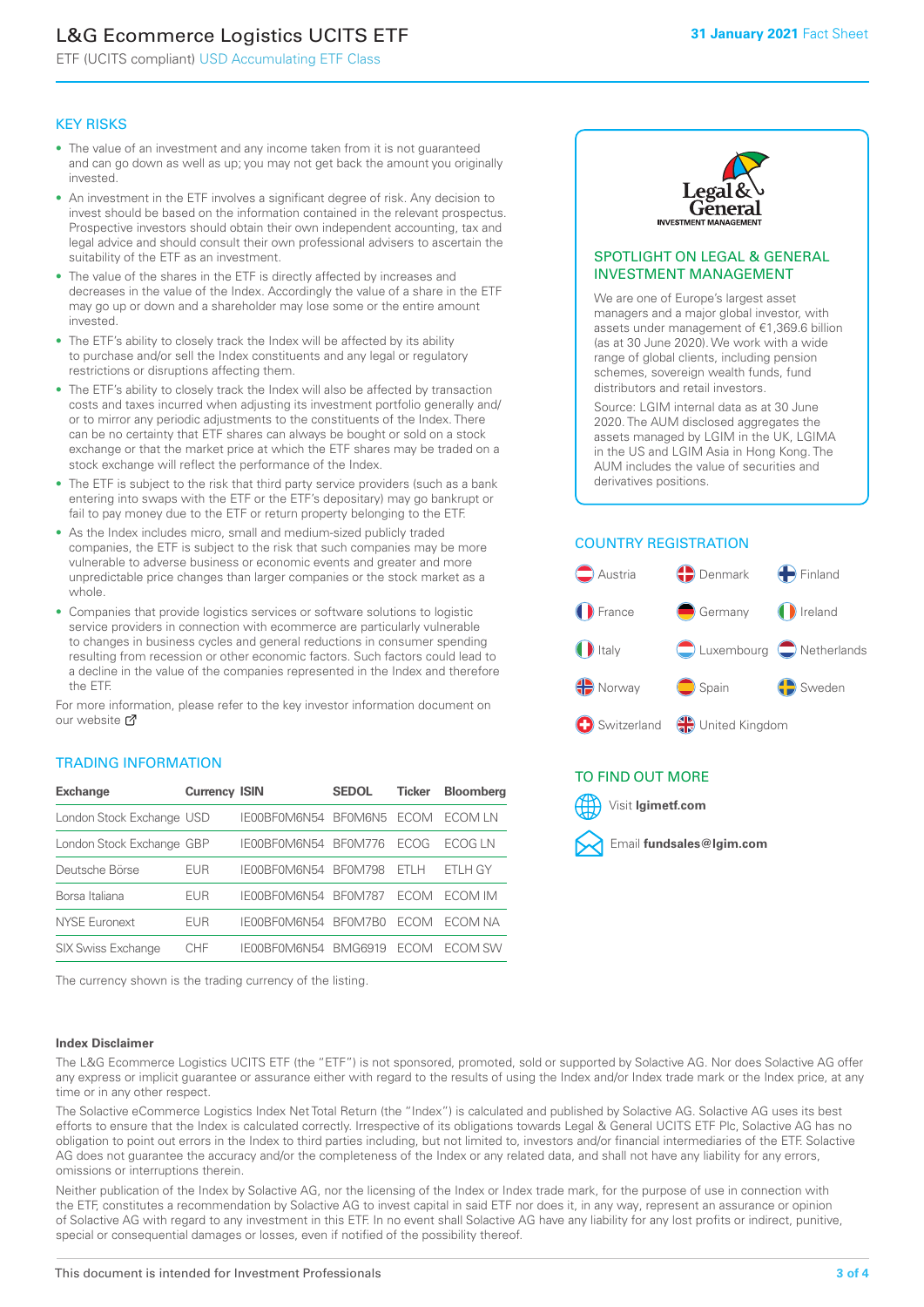# L&G Ecommerce Logistics UCITS ETF

ETF (UCITS compliant) USD Accumulating ETF Class

### KEY RISKS

- The value of an investment and any income taken from it is not guaranteed and can go down as well as up; you may not get back the amount you originally invested.
- An investment in the ETF involves a significant degree of risk. Any decision to invest should be based on the information contained in the relevant prospectus. Prospective investors should obtain their own independent accounting, tax and legal advice and should consult their own professional advisers to ascertain the suitability of the ETF as an investment.
- The value of the shares in the ETF is directly affected by increases and decreases in the value of the Index. Accordingly the value of a share in the ETF may go up or down and a shareholder may lose some or the entire amount invested.
- The ETF's ability to closely track the Index will be affected by its ability to purchase and/or sell the Index constituents and any legal or regulatory restrictions or disruptions affecting them.
- The ETF's ability to closely track the Index will also be affected by transaction costs and taxes incurred when adjusting its investment portfolio generally and/ or to mirror any periodic adjustments to the constituents of the Index. There can be no certainty that ETF shares can always be bought or sold on a stock exchange or that the market price at which the ETF shares may be traded on a stock exchange will reflect the performance of the Index.
- The ETF is subject to the risk that third party service providers (such as a bank entering into swaps with the ETF or the ETF's depositary) may go bankrupt or fail to pay money due to the ETF or return property belonging to the ETF.
- As the Index includes micro, small and medium-sized publicly traded companies, the ETF is subject to the risk that such companies may be more vulnerable to adverse business or economic events and greater and more unpredictable price changes than larger companies or the stock market as a whole.
- Companies that provide logistics services or software solutions to logistic service providers in connection with ecommerce are particularly vulnerable to changes in business cycles and general reductions in consumer spending resulting from recession or other economic factors. Such factors could lead to a decline in the value of the companies represented in the Index and therefore the ETF.

For more in[form](https://www.lgimetf.com/)ation, please refer to the key investor information document on our website Ø

### TRADING INFORMATION

| <b>Exchange</b>           | <b>Currency ISIN</b> |                      | <b>SEDOL</b>   | <b>Ticker</b> | <b>Bloomberg</b> |
|---------------------------|----------------------|----------------------|----------------|---------------|------------------|
| London Stock Exchange USD |                      | IE00BF0M6N54 BF0M6N5 |                | <b>FCOM</b>   | ECOM I N         |
| London Stock Exchange GBP |                      | IE00BF0M6N54         | <b>BF0M776</b> | <b>FCOG</b>   | FCOG I N         |
| Deutsche Börse            | <b>EUR</b>           | IE00BF0M6N54         | <b>BF0M798</b> | FTI H         | FTI H GY         |
| Borsa Italiana            | <b>EUR</b>           | IF00BF0M6N54         | <b>BF0M787</b> | <b>FCOM</b>   | ECOM IM          |
| <b>NYSE Euronext</b>      | <b>EUR</b>           | IF00BF0M6N54         | BF0M7B0        | <b>FCOM</b>   | FCOM NA          |
| <b>SIX Swiss Exchange</b> | CHE                  | IF00BF0M6N54         | <b>BMG6919</b> | <b>ECOM</b>   | ECOM SW          |

The currency shown is the trading currency of the listing.

### **Index Disclaimer**



#### SPOTLIGHT ON LEGAL & GENERAL INVESTMENT MANAGEMENT

We are one of Europe's largest asset managers and a major global investor, with assets under management of €1,369.6 billion (as at 30 June 2020). We work with a wide range of global clients, including pension schemes, sovereign wealth funds, fund distributors and retail investors.

Source: LGIM internal data as at 30 June 2020. The AUM disclosed aggregates the assets managed by LGIM in the UK, LGIMA in the US and LGIM Asia in Hong Kong. The AUM includes the value of securities and derivatives positions.

### COUNTRY REGISTRATION



### TO FIND OUT MORE



The L&G Ecommerce Logistics UCITS ETF (the "ETF") is not sponsored, promoted, sold or supported by Solactive AG. Nor does Solactive AG offer any express or implicit guarantee or assurance either with regard to the results of using the Index and/or Index trade mark or the Index price, at any time or in any other respect.

The Solactive eCommerce Logistics Index Net Total Return (the "Index") is calculated and published by Solactive AG. Solactive AG uses its best efforts to ensure that the Index is calculated correctly. Irrespective of its obligations towards Legal & General UCITS ETF Plc, Solactive AG has no obligation to point out errors in the Index to third parties including, but not limited to, investors and/or financial intermediaries of the ETF. Solactive AG does not guarantee the accuracy and/or the completeness of the Index or any related data, and shall not have any liability for any errors, omissions or interruptions therein.

Neither publication of the Index by Solactive AG, nor the licensing of the Index or Index trade mark, for the purpose of use in connection with the ETF, constitutes a recommendation by Solactive AG to invest capital in said ETF nor does it, in any way, represent an assurance or opinion of Solactive AG with regard to any investment in this ETF. In no event shall Solactive AG have any liability for any lost profits or indirect, punitive, special or consequential damages or losses, even if notified of the possibility thereof.